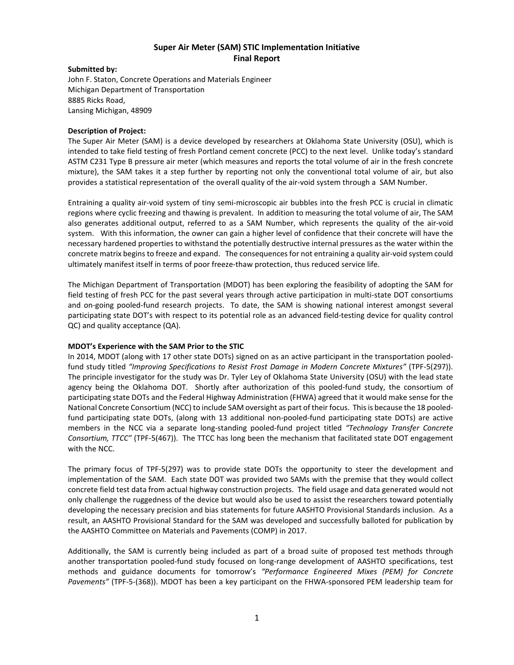# **Super Air Meter (SAM) STIC Implementation Initiative Final Report**

### **Submitted by:**

John F. Staton, Concrete Operations and Materials Engineer Michigan Department of Transportation 8885 Ricks Road, Lansing Michigan, 48909

### **Description of Project:**

The Super Air Meter (SAM) is a device developed by researchers at Oklahoma State University (OSU), which is intended to take field testing of fresh Portland cement concrete (PCC) to the next level. Unlike today's standard ASTM C231 Type B pressure air meter (which measures and reports the total volume of air in the fresh concrete mixture), the SAM takes it a step further by reporting not only the conventional total volume of air, but also provides a statistical representation of the overall quality of the air-void system through a SAM Number.

Entraining a quality air-void system of tiny semi-microscopic air bubbles into the fresh PCC is crucial in climatic regions where cyclic freezing and thawing is prevalent. In addition to measuring the total volume of air, The SAM also generates additional output, referred to as a SAM Number, which represents the quality of the air-void system. With this information, the owner can gain a higher level of confidence that their concrete will have the necessary hardened properties to withstand the potentially destructive internal pressures as the water within the concrete matrix begins to freeze and expand. The consequences for not entraining a quality air-void system could ultimately manifest itself in terms of poor freeze-thaw protection, thus reduced service life.

The Michigan Department of Transportation (MDOT) has been exploring the feasibility of adopting the SAM for field testing of fresh PCC for the past several years through active participation in multi-state DOT consortiums and on-going pooled-fund research projects. To date, the SAM is showing national interest amongst several participating state DOT's with respect to its potential role as an advanced field-testing device for quality control QC) and quality acceptance (QA).

## **MDOT's Experience with the SAM Prior to the STIC**

In 2014, MDOT (along with 17 other state DOTs) signed on as an active participant in the transportation pooledfund study titled *"Improving Specifications to Resist Frost Damage in Modern Concrete Mixtures"* (TPF-5(297)). The principle investigator for the study was Dr. Tyler Ley of Oklahoma State University (OSU) with the lead state agency being the Oklahoma DOT. Shortly after authorization of this pooled-fund study, the consortium of participating state DOTs and the Federal Highway Administration (FHWA) agreed that it would make sense for the National Concrete Consortium (NCC) to include SAM oversight as part of their focus. This is because the 18 pooledfund participating state DOTs, (along with 13 additional non-pooled-fund participating state DOTs) are active members in the NCC via a separate long-standing pooled-fund project titled *"Technology Transfer Concrete Consortium, TTCC"* (TPF-5(467)). The TTCC has long been the mechanism that facilitated state DOT engagement with the NCC.

The primary focus of TPF-5(297) was to provide state DOTs the opportunity to steer the development and implementation of the SAM. Each state DOT was provided two SAMs with the premise that they would collect concrete field test data from actual highway construction projects. The field usage and data generated would not only challenge the ruggedness of the device but would also be used to assist the researchers toward potentially developing the necessary precision and bias statements for future AASHTO Provisional Standards inclusion. As a result, an AASHTO Provisional Standard for the SAM was developed and successfully balloted for publication by the AASHTO Committee on Materials and Pavements (COMP) in 2017.

Additionally, the SAM is currently being included as part of a broad suite of proposed test methods through another transportation pooled-fund study focused on long-range development of AASHTO specifications, test methods and guidance documents for tomorrow's *"Performance Engineered Mixes (PEM) for Concrete Pavements"* (TPF-5-(368)). MDOT has been a key participant on the FHWA-sponsored PEM leadership team for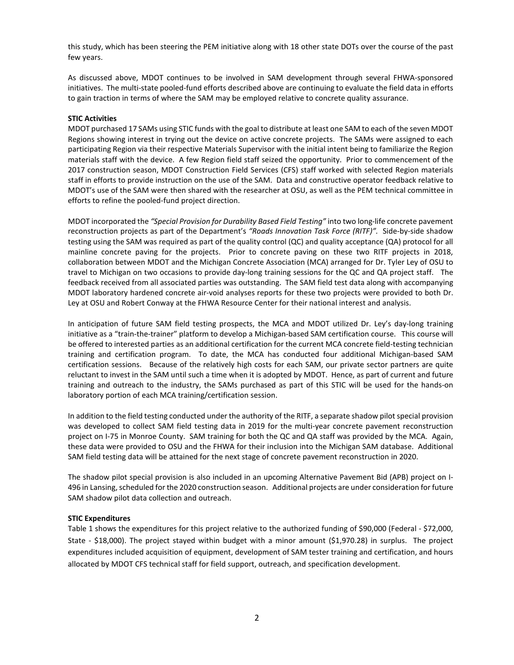this study, which has been steering the PEM initiative along with 18 other state DOTs over the course of the past few years.

As discussed above, MDOT continues to be involved in SAM development through several FHWA-sponsored initiatives. The multi-state pooled-fund efforts described above are continuing to evaluate the field data in efforts to gain traction in terms of where the SAM may be employed relative to concrete quality assurance.

### **STIC Activities**

MDOT purchased 17 SAMs using STIC funds with the goal to distribute at least one SAM to each of the seven MDOT Regions showing interest in trying out the device on active concrete projects. The SAMs were assigned to each participating Region via their respective Materials Supervisor with the initial intent being to familiarize the Region materials staff with the device. A few Region field staff seized the opportunity. Prior to commencement of the 2017 construction season, MDOT Construction Field Services (CFS) staff worked with selected Region materials staff in efforts to provide instruction on the use of the SAM. Data and constructive operator feedback relative to MDOT's use of the SAM were then shared with the researcher at OSU, as well as the PEM technical committee in efforts to refine the pooled-fund project direction.

MDOT incorporated the *"Special Provision for Durability Based Field Testing"* into two long-life concrete pavement reconstruction projects as part of the Department's *"Roads Innovation Task Force (RITF)".* Side-by-side shadow testing using the SAM was required as part of the quality control (QC) and quality acceptance (QA) protocol for all mainline concrete paving for the projects. Prior to concrete paving on these two RITF projects in 2018, collaboration between MDOT and the Michigan Concrete Association (MCA) arranged for Dr. Tyler Ley of OSU to travel to Michigan on two occasions to provide day-long training sessions for the QC and QA project staff. The feedback received from all associated parties was outstanding. The SAM field test data along with accompanying MDOT laboratory hardened concrete air-void analyses reports for these two projects were provided to both Dr. Ley at OSU and Robert Conway at the FHWA Resource Center for their national interest and analysis.

In anticipation of future SAM field testing prospects, the MCA and MDOT utilized Dr. Ley's day-long training initiative as a "train-the-trainer" platform to develop a Michigan-based SAM certification course. This course will be offered to interested parties as an additional certification for the current MCA concrete field-testing technician training and certification program. To date, the MCA has conducted four additional Michigan-based SAM certification sessions. Because of the relatively high costs for each SAM, our private sector partners are quite reluctant to invest in the SAM until such a time when it is adopted by MDOT. Hence, as part of current and future training and outreach to the industry, the SAMs purchased as part of this STIC will be used for the hands-on laboratory portion of each MCA training/certification session.

In addition to the field testing conducted under the authority of the RITF, a separate shadow pilot special provision was developed to collect SAM field testing data in 2019 for the multi-year concrete pavement reconstruction project on I-75 in Monroe County. SAM training for both the QC and QA staff was provided by the MCA. Again, these data were provided to OSU and the FHWA for their inclusion into the Michigan SAM database. Additional SAM field testing data will be attained for the next stage of concrete pavement reconstruction in 2020.

The shadow pilot special provision is also included in an upcoming Alternative Pavement Bid (APB) project on I-496 in Lansing, scheduled for the 2020 construction season. Additional projects are under consideration for future SAM shadow pilot data collection and outreach.

#### **STIC Expenditures**

Table 1 shows the expenditures for this project relative to the authorized funding of \$90,000 (Federal - \$72,000, State - \$18,000). The project stayed within budget with a minor amount (\$1,970.28) in surplus. The project expenditures included acquisition of equipment, development of SAM tester training and certification, and hours allocated by MDOT CFS technical staff for field support, outreach, and specification development.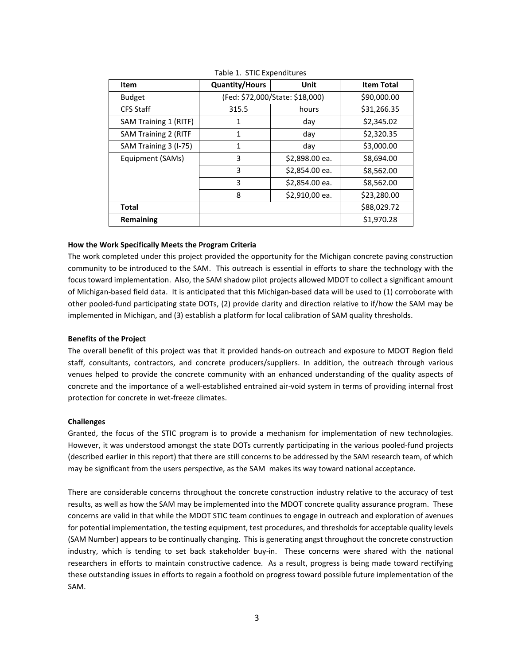| Item                        | <b>Quantity/Hours</b>           | Unit           | <b>Item Total</b> |
|-----------------------------|---------------------------------|----------------|-------------------|
| <b>Budget</b>               | (Fed: \$72,000/State: \$18,000) |                | \$90,000.00       |
| <b>CFS Staff</b>            | 315.5                           | hours          | \$31,266.35       |
| SAM Training 1 (RITF)       | 1                               | day            | \$2,345.02        |
| <b>SAM Training 2 (RITF</b> | 1                               | day            | \$2,320.35        |
| SAM Training 3 (I-75)       | 1                               | day            | \$3,000.00        |
| Equipment (SAMs)            | 3                               | \$2,898.00 ea. | \$8,694.00        |
|                             | 3                               | \$2,854.00 ea. | \$8,562.00        |
|                             | 3                               | \$2,854.00 ea. | \$8,562.00        |
|                             | 8                               | \$2,910,00 ea. | \$23,280.00       |
| <b>Total</b>                |                                 |                | \$88,029.72       |
| Remaining                   |                                 |                | \$1,970.28        |

Table 1. STIC Expenditures

#### **How the Work Specifically Meets the Program Criteria**

The work completed under this project provided the opportunity for the Michigan concrete paving construction community to be introduced to the SAM. This outreach is essential in efforts to share the technology with the focus toward implementation. Also, the SAM shadow pilot projects allowed MDOT to collect a significant amount of Michigan-based field data. It is anticipated that this Michigan-based data will be used to (1) corroborate with other pooled-fund participating state DOTs, (2) provide clarity and direction relative to if/how the SAM may be implemented in Michigan, and (3) establish a platform for local calibration of SAM quality thresholds.

#### **Benefits of the Project**

The overall benefit of this project was that it provided hands-on outreach and exposure to MDOT Region field staff, consultants, contractors, and concrete producers/suppliers. In addition, the outreach through various venues helped to provide the concrete community with an enhanced understanding of the quality aspects of concrete and the importance of a well-established entrained air-void system in terms of providing internal frost protection for concrete in wet-freeze climates.

#### **Challenges**

Granted, the focus of the STIC program is to provide a mechanism for implementation of new technologies. However, it was understood amongst the state DOTs currently participating in the various pooled-fund projects (described earlier in this report) that there are still concerns to be addressed by the SAM research team, of which may be significant from the users perspective, as the SAM makes its way toward national acceptance.

There are considerable concerns throughout the concrete construction industry relative to the accuracy of test results, as well as how the SAM may be implemented into the MDOT concrete quality assurance program. These concerns are valid in that while the MDOT STIC team continues to engage in outreach and exploration of avenues for potential implementation, the testing equipment, test procedures, and thresholds for acceptable quality levels (SAM Number) appears to be continually changing. This is generating angst throughout the concrete construction industry, which is tending to set back stakeholder buy-in. These concerns were shared with the national researchers in efforts to maintain constructive cadence. As a result, progress is being made toward rectifying these outstanding issues in efforts to regain a foothold on progress toward possible future implementation of the SAM.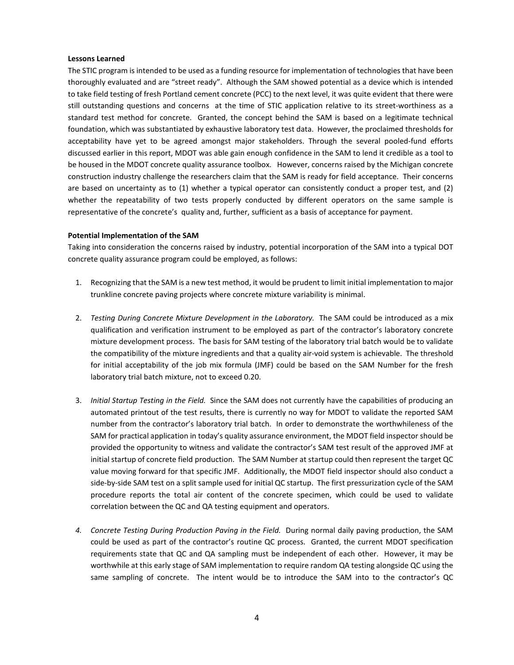#### **Lessons Learned**

The STIC program is intended to be used as a funding resource for implementation of technologies that have been thoroughly evaluated and are "street ready". Although the SAM showed potential as a device which is intended to take field testing of fresh Portland cement concrete (PCC) to the next level, it was quite evident that there were still outstanding questions and concerns at the time of STIC application relative to its street-worthiness as a standard test method for concrete. Granted, the concept behind the SAM is based on a legitimate technical foundation, which was substantiated by exhaustive laboratory test data. However, the proclaimed thresholds for acceptability have yet to be agreed amongst major stakeholders. Through the several pooled-fund efforts discussed earlier in this report, MDOT was able gain enough confidence in the SAM to lend it credible as a tool to be housed in the MDOT concrete quality assurance toolbox. However, concerns raised by the Michigan concrete construction industry challenge the researchers claim that the SAM is ready for field acceptance. Their concerns are based on uncertainty as to (1) whether a typical operator can consistently conduct a proper test, and (2) whether the repeatability of two tests properly conducted by different operators on the same sample is representative of the concrete's quality and, further, sufficient as a basis of acceptance for payment.

#### **Potential Implementation of the SAM**

Taking into consideration the concerns raised by industry, potential incorporation of the SAM into a typical DOT concrete quality assurance program could be employed, as follows:

- 1. Recognizing that the SAM is a new test method, it would be prudent to limit initial implementation to major trunkline concrete paving projects where concrete mixture variability is minimal.
- 2. *Testing During Concrete Mixture Development in the Laboratory.* The SAM could be introduced as a mix qualification and verification instrument to be employed as part of the contractor's laboratory concrete mixture development process. The basis for SAM testing of the laboratory trial batch would be to validate the compatibility of the mixture ingredients and that a quality air-void system is achievable. The threshold for initial acceptability of the job mix formula (JMF) could be based on the SAM Number for the fresh laboratory trial batch mixture, not to exceed 0.20.
- 3. *Initial Startup Testing in the Field.* Since the SAM does not currently have the capabilities of producing an automated printout of the test results, there is currently no way for MDOT to validate the reported SAM number from the contractor's laboratory trial batch. In order to demonstrate the worthwhileness of the SAM for practical application in today's quality assurance environment, the MDOT field inspector should be provided the opportunity to witness and validate the contractor's SAM test result of the approved JMF at initial startup of concrete field production. The SAM Number at startup could then represent the target QC value moving forward for that specific JMF. Additionally, the MDOT field inspector should also conduct a side-by-side SAM test on a split sample used for initial QC startup. The first pressurization cycle of the SAM procedure reports the total air content of the concrete specimen, which could be used to validate correlation between the QC and QA testing equipment and operators.
- *4. Concrete Testing During Production Paving in the Field.* During normal daily paving production, the SAM could be used as part of the contractor's routine QC process. Granted, the current MDOT specification requirements state that QC and QA sampling must be independent of each other. However, it may be worthwhile at this early stage of SAM implementation to require random QA testing alongside QC using the same sampling of concrete. The intent would be to introduce the SAM into to the contractor's QC